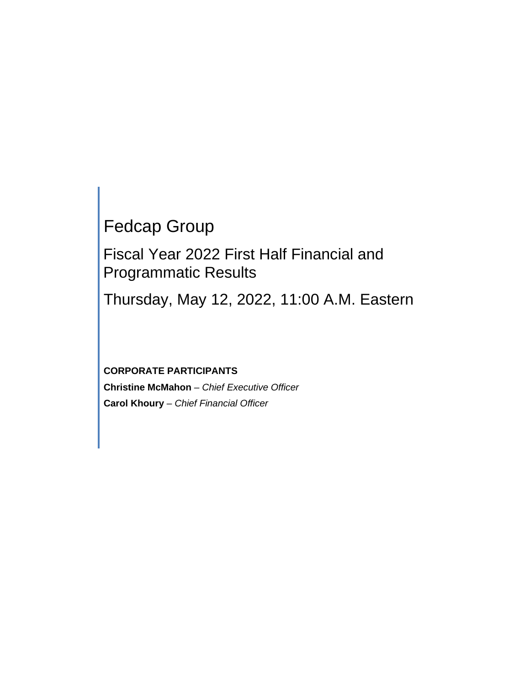# Fedcap Group

Fiscal Year 2022 First Half Financial and Programmatic Results

Thursday, May 12, 2022, 11:00 A.M. Eastern

**CORPORATE PARTICIPANTS Christine McMahon** *– Chief Executive Officer* **Carol Khoury** *– Chief Financial Officer*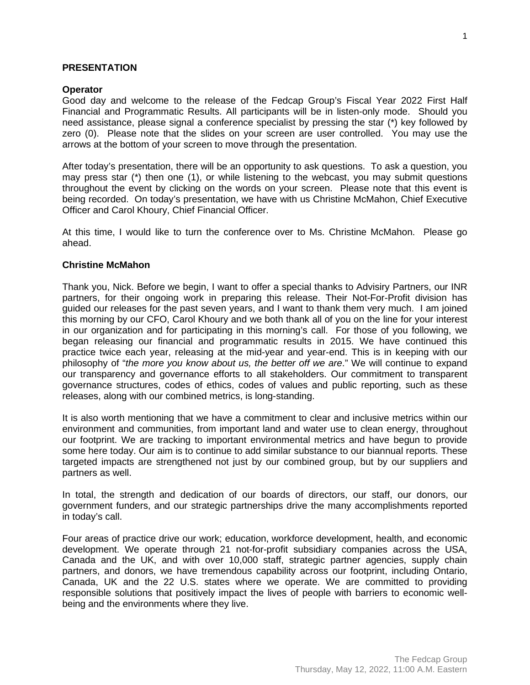#### **PRESENTATION**

#### **Operator**

Good day and welcome to the release of the Fedcap Group's Fiscal Year 2022 First Half Financial and Programmatic Results. All participants will be in listen-only mode. Should you need assistance, please signal a conference specialist by pressing the star (\*) key followed by zero (0). Please note that the slides on your screen are user controlled. You may use the arrows at the bottom of your screen to move through the presentation.

After today's presentation, there will be an opportunity to ask questions. To ask a question, you may press star (\*) then one (1), or while listening to the webcast, you may submit questions throughout the event by clicking on the words on your screen. Please note that this event is being recorded. On today's presentation, we have with us Christine McMahon, Chief Executive Officer and Carol Khoury, Chief Financial Officer.

At this time, I would like to turn the conference over to Ms. Christine McMahon. Please go ahead.

#### **Christine McMahon**

Thank you, Nick. Before we begin, I want to offer a special thanks to Advisiry Partners, our INR partners, for their ongoing work in preparing this release. Their Not-For-Profit division has guided our releases for the past seven years, and I want to thank them very much. I am joined this morning by our CFO, Carol Khoury and we both thank all of you on the line for your interest in our organization and for participating in this morning's call. For those of you following, we began releasing our financial and programmatic results in 2015. We have continued this practice twice each year, releasing at the mid-year and year-end. This is in keeping with our philosophy of "*the more you know about us, the better off we are*." We will continue to expand our transparency and governance efforts to all stakeholders. Our commitment to transparent governance structures, codes of ethics, codes of values and public reporting, such as these releases, along with our combined metrics, is long-standing.

It is also worth mentioning that we have a commitment to clear and inclusive metrics within our environment and communities, from important land and water use to clean energy, throughout our footprint. We are tracking to important environmental metrics and have begun to provide some here today. Our aim is to continue to add similar substance to our biannual reports. These targeted impacts are strengthened not just by our combined group, but by our suppliers and partners as well.

In total, the strength and dedication of our boards of directors, our staff, our donors, our government funders, and our strategic partnerships drive the many accomplishments reported in today's call.

Four areas of practice drive our work; education, workforce development, health, and economic development. We operate through 21 not-for-profit subsidiary companies across the USA, Canada and the UK, and with over 10,000 staff, strategic partner agencies, supply chain partners, and donors, we have tremendous capability across our footprint, including Ontario, Canada, UK and the 22 U.S. states where we operate. We are committed to providing responsible solutions that positively impact the lives of people with barriers to economic wellbeing and the environments where they live.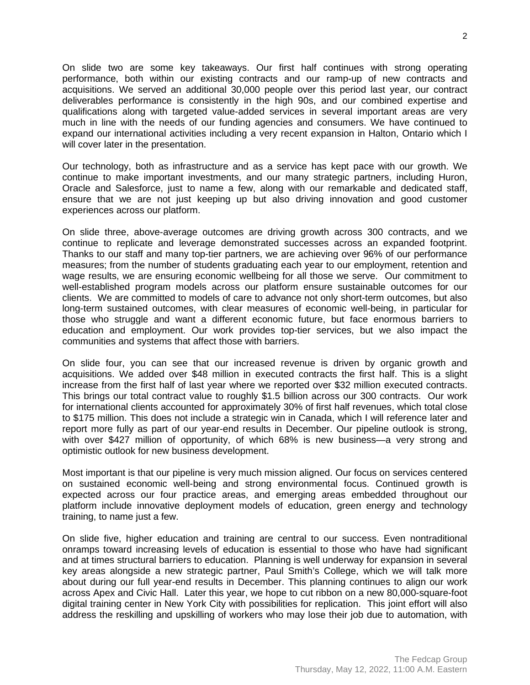On slide two are some key takeaways. Our first half continues with strong operating performance, both within our existing contracts and our ramp-up of new contracts and acquisitions. We served an additional 30,000 people over this period last year, our contract deliverables performance is consistently in the high 90s, and our combined expertise and qualifications along with targeted value-added services in several important areas are very much in line with the needs of our funding agencies and consumers. We have continued to expand our international activities including a very recent expansion in Halton, Ontario which I will cover later in the presentation.

Our technology, both as infrastructure and as a service has kept pace with our growth. We continue to make important investments, and our many strategic partners, including Huron, Oracle and Salesforce, just to name a few, along with our remarkable and dedicated staff, ensure that we are not just keeping up but also driving innovation and good customer experiences across our platform.

On slide three, above-average outcomes are driving growth across 300 contracts, and we continue to replicate and leverage demonstrated successes across an expanded footprint. Thanks to our staff and many top-tier partners, we are achieving over 96% of our performance measures; from the number of students graduating each year to our employment, retention and wage results, we are ensuring economic wellbeing for all those we serve. Our commitment to well-established program models across our platform ensure sustainable outcomes for our clients. We are committed to models of care to advance not only short-term outcomes, but also long-term sustained outcomes, with clear measures of economic well-being, in particular for those who struggle and want a different economic future, but face enormous barriers to education and employment. Our work provides top-tier services, but we also impact the communities and systems that affect those with barriers.

On slide four, you can see that our increased revenue is driven by organic growth and acquisitions. We added over \$48 million in executed contracts the first half. This is a slight increase from the first half of last year where we reported over \$32 million executed contracts. This brings our total contract value to roughly \$1.5 billion across our 300 contracts. Our work for international clients accounted for approximately 30% of first half revenues, which total close to \$175 million. This does not include a strategic win in Canada, which I will reference later and report more fully as part of our year-end results in December. Our pipeline outlook is strong, with over \$427 million of opportunity, of which 68% is new business—a very strong and optimistic outlook for new business development.

Most important is that our pipeline is very much mission aligned. Our focus on services centered on sustained economic well-being and strong environmental focus. Continued growth is expected across our four practice areas, and emerging areas embedded throughout our platform include innovative deployment models of education, green energy and technology training, to name just a few.

On slide five, higher education and training are central to our success. Even nontraditional onramps toward increasing levels of education is essential to those who have had significant and at times structural barriers to education. Planning is well underway for expansion in several key areas alongside a new strategic partner, Paul Smith's College, which we will talk more about during our full year-end results in December. This planning continues to align our work across Apex and Civic Hall. Later this year, we hope to cut ribbon on a new 80,000-square-foot digital training center in New York City with possibilities for replication. This joint effort will also address the reskilling and upskilling of workers who may lose their job due to automation, with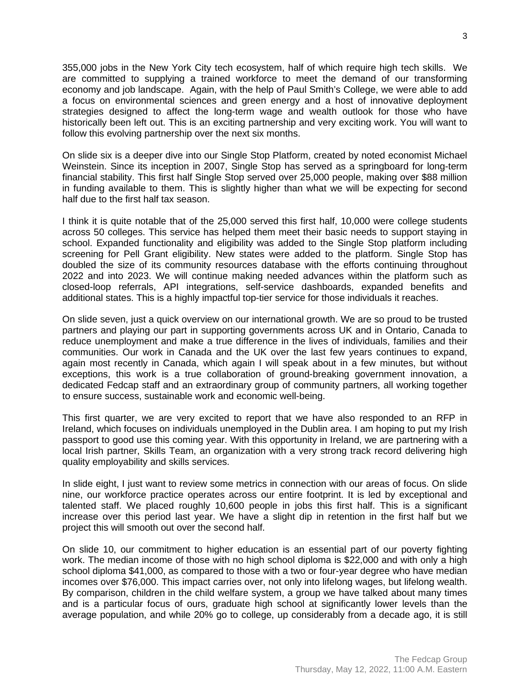355,000 jobs in the New York City tech ecosystem, half of which require high tech skills. We are committed to supplying a trained workforce to meet the demand of our transforming economy and job landscape. Again, with the help of Paul Smith's College, we were able to add a focus on environmental sciences and green energy and a host of innovative deployment strategies designed to affect the long-term wage and wealth outlook for those who have historically been left out. This is an exciting partnership and very exciting work. You will want to follow this evolving partnership over the next six months.

On slide six is a deeper dive into our Single Stop Platform, created by noted economist Michael Weinstein. Since its inception in 2007, Single Stop has served as a springboard for long-term financial stability. This first half Single Stop served over 25,000 people, making over \$88 million in funding available to them. This is slightly higher than what we will be expecting for second half due to the first half tax season.

I think it is quite notable that of the 25,000 served this first half, 10,000 were college students across 50 colleges. This service has helped them meet their basic needs to support staying in school. Expanded functionality and eligibility was added to the Single Stop platform including screening for Pell Grant eligibility. New states were added to the platform. Single Stop has doubled the size of its community resources database with the efforts continuing throughout 2022 and into 2023. We will continue making needed advances within the platform such as closed-loop referrals, API integrations, self-service dashboards, expanded benefits and additional states. This is a highly impactful top-tier service for those individuals it reaches.

On slide seven, just a quick overview on our international growth. We are so proud to be trusted partners and playing our part in supporting governments across UK and in Ontario, Canada to reduce unemployment and make a true difference in the lives of individuals, families and their communities. Our work in Canada and the UK over the last few years continues to expand, again most recently in Canada, which again I will speak about in a few minutes, but without exceptions, this work is a true collaboration of ground-breaking government innovation, a dedicated Fedcap staff and an extraordinary group of community partners, all working together to ensure success, sustainable work and economic well-being.

This first quarter, we are very excited to report that we have also responded to an RFP in Ireland, which focuses on individuals unemployed in the Dublin area. I am hoping to put my Irish passport to good use this coming year. With this opportunity in Ireland, we are partnering with a local Irish partner, Skills Team, an organization with a very strong track record delivering high quality employability and skills services.

In slide eight, I just want to review some metrics in connection with our areas of focus. On slide nine, our workforce practice operates across our entire footprint. It is led by exceptional and talented staff. We placed roughly 10,600 people in jobs this first half. This is a significant increase over this period last year. We have a slight dip in retention in the first half but we project this will smooth out over the second half.

On slide 10, our commitment to higher education is an essential part of our poverty fighting work. The median income of those with no high school diploma is \$22,000 and with only a high school diploma \$41,000, as compared to those with a two or four-year degree who have median incomes over \$76,000. This impact carries over, not only into lifelong wages, but lifelong wealth. By comparison, children in the child welfare system, a group we have talked about many times and is a particular focus of ours, graduate high school at significantly lower levels than the average population, and while 20% go to college, up considerably from a decade ago, it is still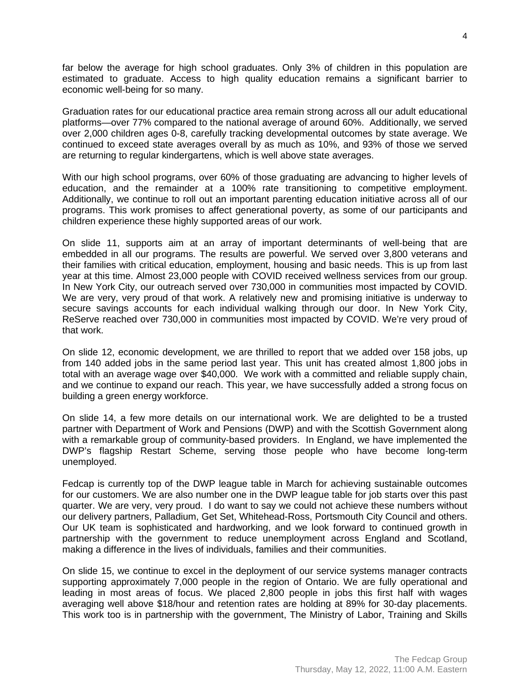far below the average for high school graduates. Only 3% of children in this population are estimated to graduate. Access to high quality education remains a significant barrier to economic well-being for so many.

Graduation rates for our educational practice area remain strong across all our adult educational platforms—over 77% compared to the national average of around 60%. Additionally, we served over 2,000 children ages 0-8, carefully tracking developmental outcomes by state average. We continued to exceed state averages overall by as much as 10%, and 93% of those we served are returning to regular kindergartens, which is well above state averages.

With our high school programs, over 60% of those graduating are advancing to higher levels of education, and the remainder at a 100% rate transitioning to competitive employment. Additionally, we continue to roll out an important parenting education initiative across all of our programs. This work promises to affect generational poverty, as some of our participants and children experience these highly supported areas of our work.

On slide 11, supports aim at an array of important determinants of well-being that are embedded in all our programs. The results are powerful. We served over 3,800 veterans and their families with critical education, employment, housing and basic needs. This is up from last year at this time. Almost 23,000 people with COVID received wellness services from our group. In New York City, our outreach served over 730,000 in communities most impacted by COVID. We are very, very proud of that work. A relatively new and promising initiative is underway to secure savings accounts for each individual walking through our door. In New York City, ReServe reached over 730,000 in communities most impacted by COVID. We're very proud of that work.

On slide 12, economic development, we are thrilled to report that we added over 158 jobs, up from 140 added jobs in the same period last year. This unit has created almost 1,800 jobs in total with an average wage over \$40,000. We work with a committed and reliable supply chain, and we continue to expand our reach. This year, we have successfully added a strong focus on building a green energy workforce.

On slide 14, a few more details on our international work. We are delighted to be a trusted partner with Department of Work and Pensions (DWP) and with the Scottish Government along with a remarkable group of community-based providers. In England, we have implemented the DWP's flagship Restart Scheme, serving those people who have become long-term unemployed.

Fedcap is currently top of the DWP league table in March for achieving sustainable outcomes for our customers. We are also number one in the DWP league table for job starts over this past quarter. We are very, very proud. I do want to say we could not achieve these numbers without our delivery partners, Palladium, Get Set, Whitehead-Ross, Portsmouth City Council and others. Our UK team is sophisticated and hardworking, and we look forward to continued growth in partnership with the government to reduce unemployment across England and Scotland, making a difference in the lives of individuals, families and their communities.

On slide 15, we continue to excel in the deployment of our service systems manager contracts supporting approximately 7,000 people in the region of Ontario. We are fully operational and leading in most areas of focus. We placed 2,800 people in jobs this first half with wages averaging well above \$18/hour and retention rates are holding at 89% for 30-day placements. This work too is in partnership with the government, The Ministry of Labor, Training and Skills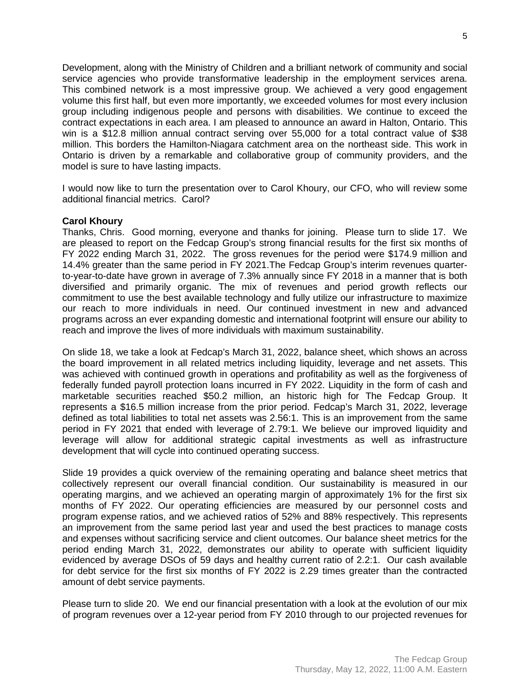Development, along with the Ministry of Children and a brilliant network of community and social service agencies who provide transformative leadership in the employment services arena. This combined network is a most impressive group. We achieved a very good engagement volume this first half, but even more importantly, we exceeded volumes for most every inclusion group including indigenous people and persons with disabilities. We continue to exceed the contract expectations in each area. I am pleased to announce an award in Halton, Ontario. This win is a \$12.8 million annual contract serving over 55,000 for a total contract value of \$38 million. This borders the Hamilton-Niagara catchment area on the northeast side. This work in Ontario is driven by a remarkable and collaborative group of community providers, and the model is sure to have lasting impacts.

I would now like to turn the presentation over to Carol Khoury, our CFO, who will review some additional financial metrics. Carol?

## **Carol Khoury**

Thanks, Chris. Good morning, everyone and thanks for joining. Please turn to slide 17. We are pleased to report on the Fedcap Group's strong financial results for the first six months of FY 2022 ending March 31, 2022. The gross revenues for the period were \$174.9 million and 14.4% greater than the same period in FY 2021.The Fedcap Group's interim revenues quarterto-year-to-date have grown in average of 7.3% annually since FY 2018 in a manner that is both diversified and primarily organic. The mix of revenues and period growth reflects our commitment to use the best available technology and fully utilize our infrastructure to maximize our reach to more individuals in need. Our continued investment in new and advanced programs across an ever expanding domestic and international footprint will ensure our ability to reach and improve the lives of more individuals with maximum sustainability.

On slide 18, we take a look at Fedcap's March 31, 2022, balance sheet, which shows an across the board improvement in all related metrics including liquidity, leverage and net assets. This was achieved with continued growth in operations and profitability as well as the forgiveness of federally funded payroll protection loans incurred in FY 2022. Liquidity in the form of cash and marketable securities reached \$50.2 million, an historic high for The Fedcap Group. It represents a \$16.5 million increase from the prior period. Fedcap's March 31, 2022, leverage defined as total liabilities to total net assets was 2.56:1. This is an improvement from the same period in FY 2021 that ended with leverage of 2.79:1. We believe our improved liquidity and leverage will allow for additional strategic capital investments as well as infrastructure development that will cycle into continued operating success.

Slide 19 provides a quick overview of the remaining operating and balance sheet metrics that collectively represent our overall financial condition. Our sustainability is measured in our operating margins, and we achieved an operating margin of approximately 1% for the first six months of FY 2022. Our operating efficiencies are measured by our personnel costs and program expense ratios, and we achieved ratios of 52% and 88% respectively. This represents an improvement from the same period last year and used the best practices to manage costs and expenses without sacrificing service and client outcomes. Our balance sheet metrics for the period ending March 31, 2022, demonstrates our ability to operate with sufficient liquidity evidenced by average DSOs of 59 days and healthy current ratio of 2.2:1. Our cash available for debt service for the first six months of FY 2022 is 2.29 times greater than the contracted amount of debt service payments.

Please turn to slide 20. We end our financial presentation with a look at the evolution of our mix of program revenues over a 12-year period from FY 2010 through to our projected revenues for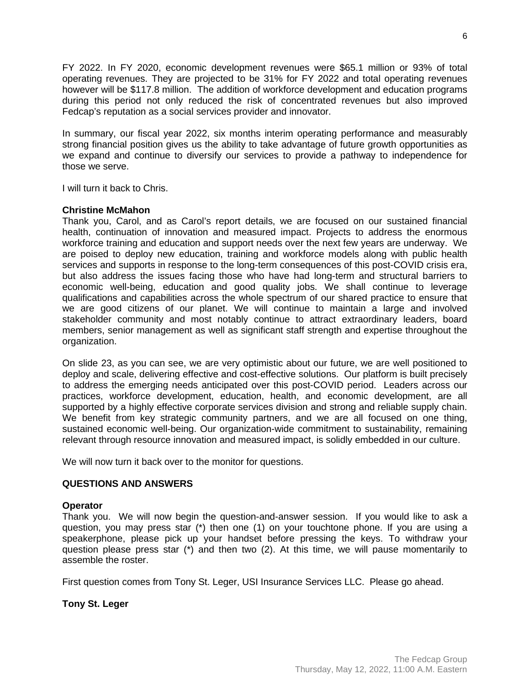FY 2022. In FY 2020, economic development revenues were \$65.1 million or 93% of total operating revenues. They are projected to be 31% for FY 2022 and total operating revenues however will be \$117.8 million. The addition of workforce development and education programs during this period not only reduced the risk of concentrated revenues but also improved Fedcap's reputation as a social services provider and innovator.

In summary, our fiscal year 2022, six months interim operating performance and measurably strong financial position gives us the ability to take advantage of future growth opportunities as we expand and continue to diversify our services to provide a pathway to independence for those we serve.

I will turn it back to Chris.

# **Christine McMahon**

Thank you, Carol, and as Carol's report details, we are focused on our sustained financial health, continuation of innovation and measured impact. Projects to address the enormous workforce training and education and support needs over the next few years are underway. We are poised to deploy new education, training and workforce models along with public health services and supports in response to the long-term consequences of this post-COVID crisis era, but also address the issues facing those who have had long-term and structural barriers to economic well-being, education and good quality jobs. We shall continue to leverage qualifications and capabilities across the whole spectrum of our shared practice to ensure that we are good citizens of our planet. We will continue to maintain a large and involved stakeholder community and most notably continue to attract extraordinary leaders, board members, senior management as well as significant staff strength and expertise throughout the organization.

On slide 23, as you can see, we are very optimistic about our future, we are well positioned to deploy and scale, delivering effective and cost-effective solutions. Our platform is built precisely to address the emerging needs anticipated over this post-COVID period. Leaders across our practices, workforce development, education, health, and economic development, are all supported by a highly effective corporate services division and strong and reliable supply chain. We benefit from key strategic community partners, and we are all focused on one thing, sustained economic well-being. Our organization-wide commitment to sustainability, remaining relevant through resource innovation and measured impact, is solidly embedded in our culture.

We will now turn it back over to the monitor for questions.

# **QUESTIONS AND ANSWERS**

## **Operator**

Thank you. We will now begin the question-and-answer session. If you would like to ask a question, you may press star (\*) then one (1) on your touchtone phone. If you are using a speakerphone, please pick up your handset before pressing the keys. To withdraw your question please press star (\*) and then two (2). At this time, we will pause momentarily to assemble the roster.

First question comes from Tony St. Leger, USI Insurance Services LLC. Please go ahead.

**Tony St. Leger**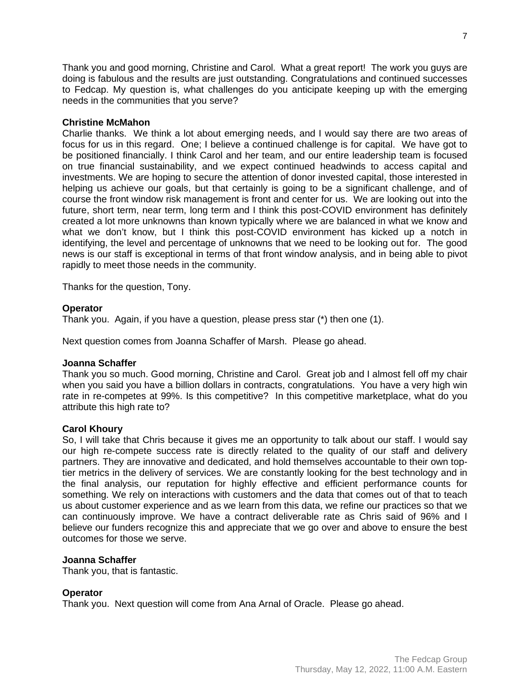Thank you and good morning, Christine and Carol. What a great report! The work you guys are doing is fabulous and the results are just outstanding. Congratulations and continued successes to Fedcap. My question is, what challenges do you anticipate keeping up with the emerging needs in the communities that you serve?

## **Christine McMahon**

Charlie thanks. We think a lot about emerging needs, and I would say there are two areas of focus for us in this regard. One; I believe a continued challenge is for capital. We have got to be positioned financially. I think Carol and her team, and our entire leadership team is focused on true financial sustainability, and we expect continued headwinds to access capital and investments. We are hoping to secure the attention of donor invested capital, those interested in helping us achieve our goals, but that certainly is going to be a significant challenge, and of course the front window risk management is front and center for us. We are looking out into the future, short term, near term, long term and I think this post-COVID environment has definitely created a lot more unknowns than known typically where we are balanced in what we know and what we don't know, but I think this post-COVID environment has kicked up a notch in identifying, the level and percentage of unknowns that we need to be looking out for. The good news is our staff is exceptional in terms of that front window analysis, and in being able to pivot rapidly to meet those needs in the community.

Thanks for the question, Tony.

# **Operator**

Thank you. Again, if you have a question, please press star (\*) then one (1).

Next question comes from Joanna Schaffer of Marsh. Please go ahead.

## **Joanna Schaffer**

Thank you so much. Good morning, Christine and Carol. Great job and I almost fell off my chair when you said you have a billion dollars in contracts, congratulations. You have a very high win rate in re-competes at 99%. Is this competitive? In this competitive marketplace, what do you attribute this high rate to?

# **Carol Khoury**

So, I will take that Chris because it gives me an opportunity to talk about our staff. I would say our high re-compete success rate is directly related to the quality of our staff and delivery partners. They are innovative and dedicated, and hold themselves accountable to their own toptier metrics in the delivery of services. We are constantly looking for the best technology and in the final analysis, our reputation for highly effective and efficient performance counts for something. We rely on interactions with customers and the data that comes out of that to teach us about customer experience and as we learn from this data, we refine our practices so that we can continuously improve. We have a contract deliverable rate as Chris said of 96% and I believe our funders recognize this and appreciate that we go over and above to ensure the best outcomes for those we serve.

## **Joanna Schaffer**

Thank you, that is fantastic.

## **Operator**

Thank you. Next question will come from Ana Arnal of Oracle. Please go ahead.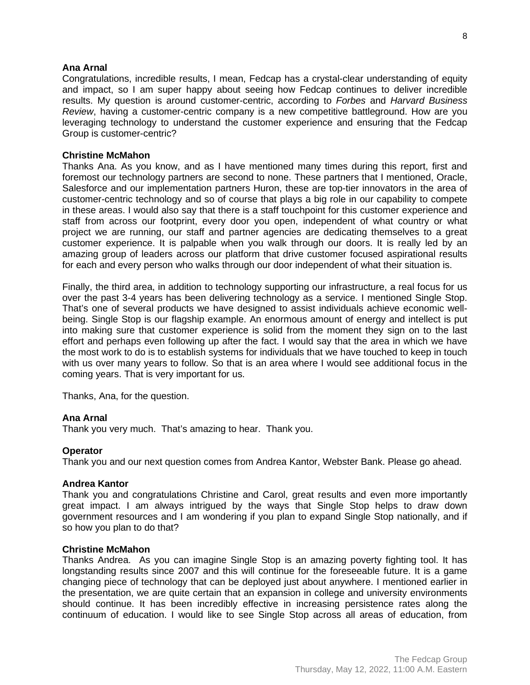#### **Ana Arnal**

Congratulations, incredible results, I mean, Fedcap has a crystal-clear understanding of equity and impact, so I am super happy about seeing how Fedcap continues to deliver incredible results. My question is around customer-centric, according to *Forbes* and *Harvard Business Review*, having a customer-centric company is a new competitive battleground. How are you leveraging technology to understand the customer experience and ensuring that the Fedcap Group is customer-centric?

#### **Christine McMahon**

Thanks Ana. As you know, and as I have mentioned many times during this report, first and foremost our technology partners are second to none. These partners that I mentioned, Oracle, Salesforce and our implementation partners Huron, these are top-tier innovators in the area of customer-centric technology and so of course that plays a big role in our capability to compete in these areas. I would also say that there is a staff touchpoint for this customer experience and staff from across our footprint, every door you open, independent of what country or what project we are running, our staff and partner agencies are dedicating themselves to a great customer experience. It is palpable when you walk through our doors. It is really led by an amazing group of leaders across our platform that drive customer focused aspirational results for each and every person who walks through our door independent of what their situation is.

Finally, the third area, in addition to technology supporting our infrastructure, a real focus for us over the past 3-4 years has been delivering technology as a service. I mentioned Single Stop. That's one of several products we have designed to assist individuals achieve economic wellbeing. Single Stop is our flagship example. An enormous amount of energy and intellect is put into making sure that customer experience is solid from the moment they sign on to the last effort and perhaps even following up after the fact. I would say that the area in which we have the most work to do is to establish systems for individuals that we have touched to keep in touch with us over many years to follow. So that is an area where I would see additional focus in the coming years. That is very important for us.

Thanks, Ana, for the question.

## **Ana Arnal**

Thank you very much. That's amazing to hear. Thank you.

#### **Operator**

Thank you and our next question comes from Andrea Kantor, Webster Bank. Please go ahead.

#### **Andrea Kantor**

Thank you and congratulations Christine and Carol, great results and even more importantly great impact. I am always intrigued by the ways that Single Stop helps to draw down government resources and I am wondering if you plan to expand Single Stop nationally, and if so how you plan to do that?

#### **Christine McMahon**

Thanks Andrea. As you can imagine Single Stop is an amazing poverty fighting tool. It has longstanding results since 2007 and this will continue for the foreseeable future. It is a game changing piece of technology that can be deployed just about anywhere. I mentioned earlier in the presentation, we are quite certain that an expansion in college and university environments should continue. It has been incredibly effective in increasing persistence rates along the continuum of education. I would like to see Single Stop across all areas of education, from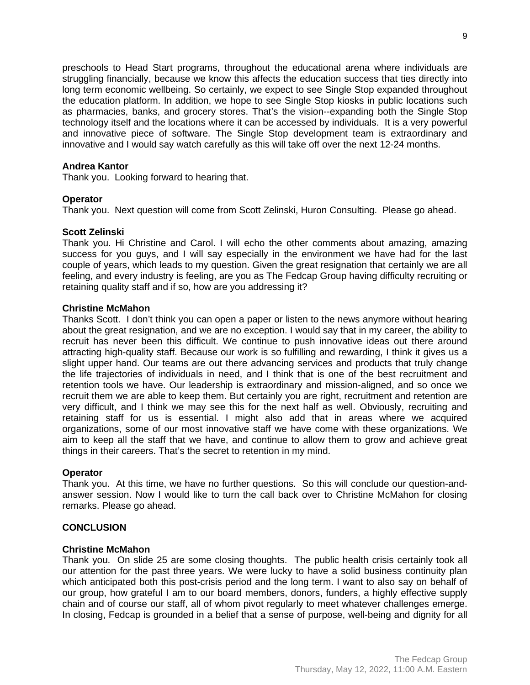preschools to Head Start programs, throughout the educational arena where individuals are struggling financially, because we know this affects the education success that ties directly into long term economic wellbeing. So certainly, we expect to see Single Stop expanded throughout the education platform. In addition, we hope to see Single Stop kiosks in public locations such as pharmacies, banks, and grocery stores. That's the vision--expanding both the Single Stop technology itself and the locations where it can be accessed by individuals. It is a very powerful and innovative piece of software. The Single Stop development team is extraordinary and innovative and I would say watch carefully as this will take off over the next 12-24 months.

## **Andrea Kantor**

Thank you. Looking forward to hearing that.

# **Operator**

Thank you. Next question will come from Scott Zelinski, Huron Consulting. Please go ahead.

# **Scott Zelinski**

Thank you. Hi Christine and Carol. I will echo the other comments about amazing, amazing success for you guys, and I will say especially in the environment we have had for the last couple of years, which leads to my question. Given the great resignation that certainly we are all feeling, and every industry is feeling, are you as The Fedcap Group having difficulty recruiting or retaining quality staff and if so, how are you addressing it?

# **Christine McMahon**

Thanks Scott. I don't think you can open a paper or listen to the news anymore without hearing about the great resignation, and we are no exception. I would say that in my career, the ability to recruit has never been this difficult. We continue to push innovative ideas out there around attracting high-quality staff. Because our work is so fulfilling and rewarding, I think it gives us a slight upper hand. Our teams are out there advancing services and products that truly change the life trajectories of individuals in need, and I think that is one of the best recruitment and retention tools we have. Our leadership is extraordinary and mission-aligned, and so once we recruit them we are able to keep them. But certainly you are right, recruitment and retention are very difficult, and I think we may see this for the next half as well. Obviously, recruiting and retaining staff for us is essential. I might also add that in areas where we acquired organizations, some of our most innovative staff we have come with these organizations. We aim to keep all the staff that we have, and continue to allow them to grow and achieve great things in their careers. That's the secret to retention in my mind.

## **Operator**

Thank you. At this time, we have no further questions. So this will conclude our question-andanswer session. Now I would like to turn the call back over to Christine McMahon for closing remarks. Please go ahead.

## **CONCLUSION**

## **Christine McMahon**

Thank you. On slide 25 are some closing thoughts. The public health crisis certainly took all our attention for the past three years. We were lucky to have a solid business continuity plan which anticipated both this post-crisis period and the long term. I want to also say on behalf of our group, how grateful I am to our board members, donors, funders, a highly effective supply chain and of course our staff, all of whom pivot regularly to meet whatever challenges emerge. In closing, Fedcap is grounded in a belief that a sense of purpose, well-being and dignity for all